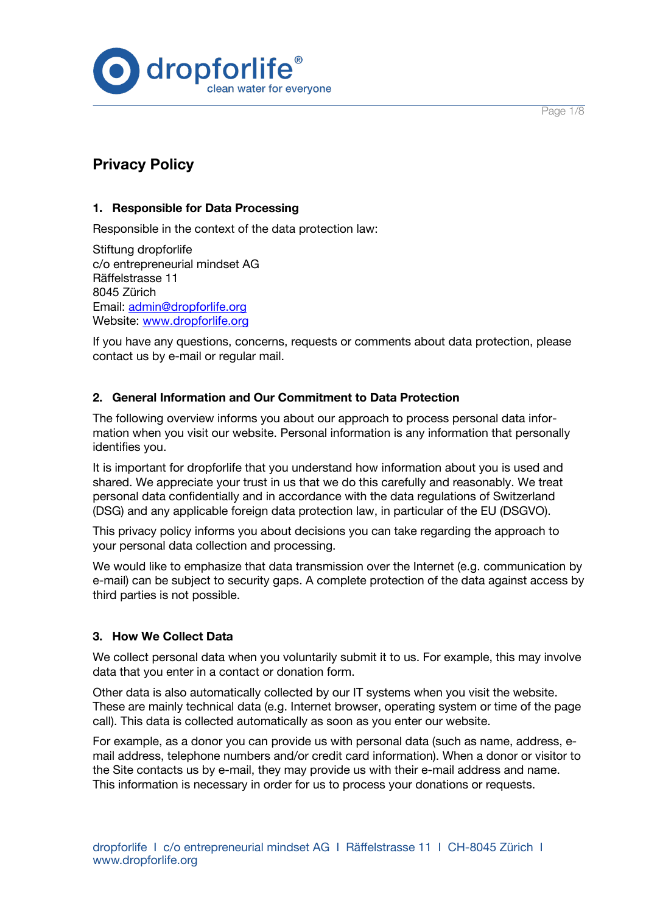Page 1/8



# **Privacy Policy**

## **1. Responsible for Data Processing**

Responsible in the context of the data protection law:

Stiftung dropforlife c/o entrepreneurial mindset AG Räffelstrasse 11 8045 Zürich Email: admin@dropforlife.org Website: www.dropforlife.org

If you have any questions, concerns, requests or comments about data protection, please contact us by e-mail or regular mail.

# **2. General Information and Our Commitment to Data Protection**

The following overview informs you about our approach to process personal data information when you visit our website. Personal information is any information that personally identifies you.

It is important for dropforlife that you understand how information about you is used and shared. We appreciate your trust in us that we do this carefully and reasonably. We treat personal data confidentially and in accordance with the data regulations of Switzerland (DSG) and any applicable foreign data protection law, in particular of the EU (DSGVO).

This privacy policy informs you about decisions you can take regarding the approach to your personal data collection and processing.

We would like to emphasize that data transmission over the Internet (e.g. communication by e-mail) can be subject to security gaps. A complete protection of the data against access by third parties is not possible.

## **3. How We Collect Data**

We collect personal data when you voluntarily submit it to us. For example, this may involve data that you enter in a contact or donation form.

Other data is also automatically collected by our IT systems when you visit the website. These are mainly technical data (e.g. Internet browser, operating system or time of the page call). This data is collected automatically as soon as you enter our website.

For example, as a donor you can provide us with personal data (such as name, address, email address, telephone numbers and/or credit card information). When a donor or visitor to the Site contacts us by e-mail, they may provide us with their e-mail address and name. This information is necessary in order for us to process your donations or requests.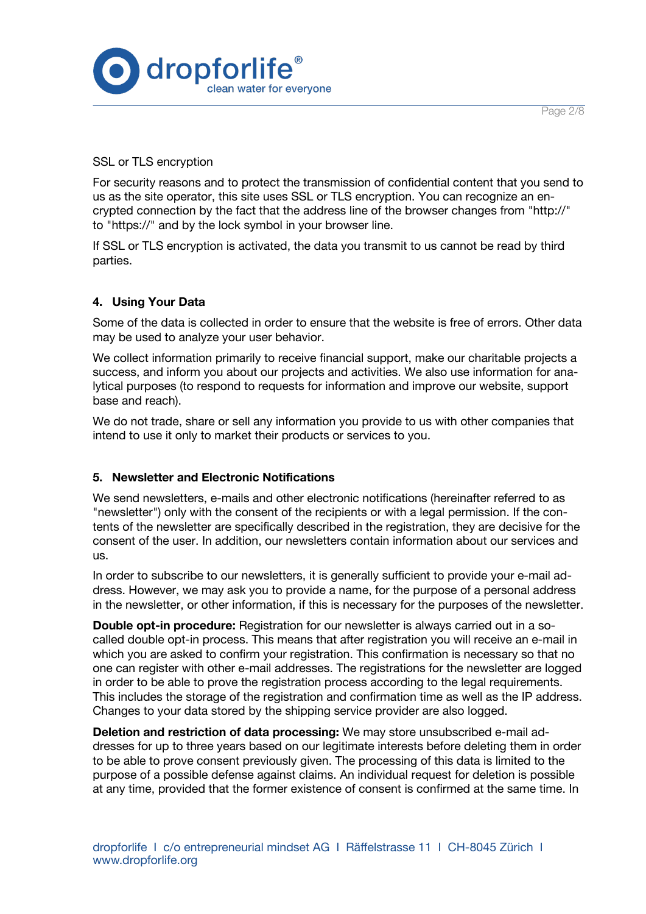

SSL or TLS encryption

For security reasons and to protect the transmission of confidential content that you send to us as the site operator, this site uses SSL or TLS encryption. You can recognize an encrypted connection by the fact that the address line of the browser changes from "http://" to "https://" and by the lock symbol in your browser line.

If SSL or TLS encryption is activated, the data you transmit to us cannot be read by third parties.

## **4. Using Your Data**

Some of the data is collected in order to ensure that the website is free of errors. Other data may be used to analyze your user behavior.

We collect information primarily to receive financial support, make our charitable projects a success, and inform you about our projects and activities. We also use information for analytical purposes (to respond to requests for information and improve our website, support base and reach).

We do not trade, share or sell any information you provide to us with other companies that intend to use it only to market their products or services to you.

## **5. Newsletter and Electronic Notifications**

We send newsletters, e-mails and other electronic notifications (hereinafter referred to as "newsletter") only with the consent of the recipients or with a legal permission. If the contents of the newsletter are specifically described in the registration, they are decisive for the consent of the user. In addition, our newsletters contain information about our services and us.

In order to subscribe to our newsletters, it is generally sufficient to provide your e-mail address. However, we may ask you to provide a name, for the purpose of a personal address in the newsletter, or other information, if this is necessary for the purposes of the newsletter.

**Double opt-in procedure:** Registration for our newsletter is always carried out in a socalled double opt-in process. This means that after registration you will receive an e-mail in which you are asked to confirm your registration. This confirmation is necessary so that no one can register with other e-mail addresses. The registrations for the newsletter are logged in order to be able to prove the registration process according to the legal requirements. This includes the storage of the registration and confirmation time as well as the IP address. Changes to your data stored by the shipping service provider are also logged.

**Deletion and restriction of data processing:** We may store unsubscribed e-mail addresses for up to three years based on our legitimate interests before deleting them in order to be able to prove consent previously given. The processing of this data is limited to the purpose of a possible defense against claims. An individual request for deletion is possible at any time, provided that the former existence of consent is confirmed at the same time. In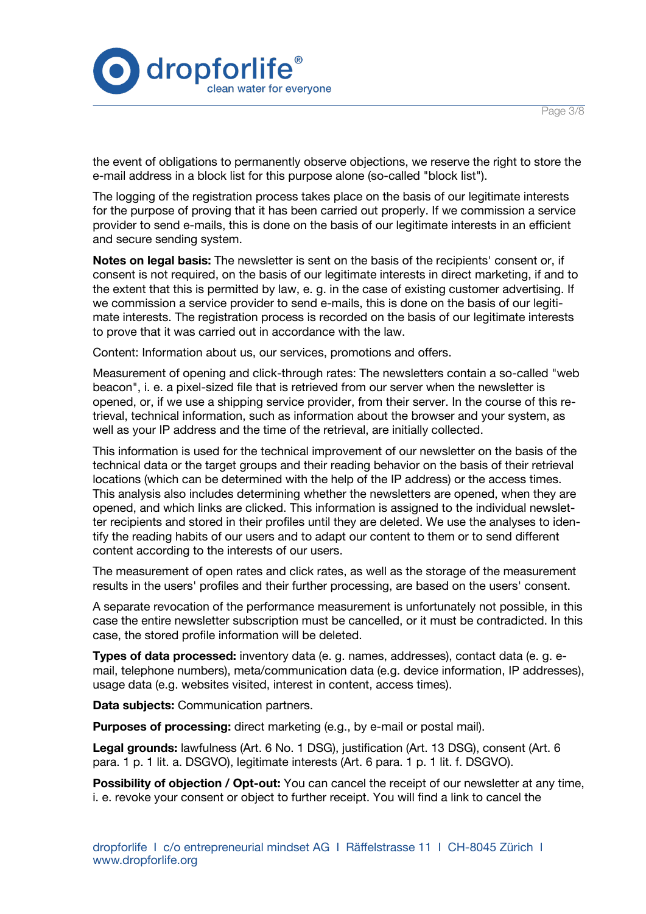

the event of obligations to permanently observe objections, we reserve the right to store the e-mail address in a block list for this purpose alone (so-called "block list").

The logging of the registration process takes place on the basis of our legitimate interests for the purpose of proving that it has been carried out properly. If we commission a service provider to send e-mails, this is done on the basis of our legitimate interests in an efficient and secure sending system.

**Notes on legal basis:** The newsletter is sent on the basis of the recipients' consent or, if consent is not required, on the basis of our legitimate interests in direct marketing, if and to the extent that this is permitted by law, e. g. in the case of existing customer advertising. If we commission a service provider to send e-mails, this is done on the basis of our legitimate interests. The registration process is recorded on the basis of our legitimate interests to prove that it was carried out in accordance with the law.

Content: Information about us, our services, promotions and offers.

Measurement of opening and click-through rates: The newsletters contain a so-called "web beacon", i. e. a pixel-sized file that is retrieved from our server when the newsletter is opened, or, if we use a shipping service provider, from their server. In the course of this retrieval, technical information, such as information about the browser and your system, as well as your IP address and the time of the retrieval, are initially collected.

This information is used for the technical improvement of our newsletter on the basis of the technical data or the target groups and their reading behavior on the basis of their retrieval locations (which can be determined with the help of the IP address) or the access times. This analysis also includes determining whether the newsletters are opened, when they are opened, and which links are clicked. This information is assigned to the individual newsletter recipients and stored in their profiles until they are deleted. We use the analyses to identify the reading habits of our users and to adapt our content to them or to send different content according to the interests of our users.

The measurement of open rates and click rates, as well as the storage of the measurement results in the users' profiles and their further processing, are based on the users' consent.

A separate revocation of the performance measurement is unfortunately not possible, in this case the entire newsletter subscription must be cancelled, or it must be contradicted. In this case, the stored profile information will be deleted.

**Types of data processed:** inventory data (e. g. names, addresses), contact data (e. g. email, telephone numbers), meta/communication data (e.g. device information, IP addresses), usage data (e.g. websites visited, interest in content, access times).

**Data subjects:** Communication partners.

**Purposes of processing:** direct marketing (e.g., by e-mail or postal mail).

**Legal grounds:** lawfulness (Art. 6 No. 1 DSG), justification (Art. 13 DSG), consent (Art. 6 para. 1 p. 1 lit. a. DSGVO), legitimate interests (Art. 6 para. 1 p. 1 lit. f. DSGVO).

**Possibility of objection / Opt-out:** You can cancel the receipt of our newsletter at any time, i. e. revoke your consent or object to further receipt. You will find a link to cancel the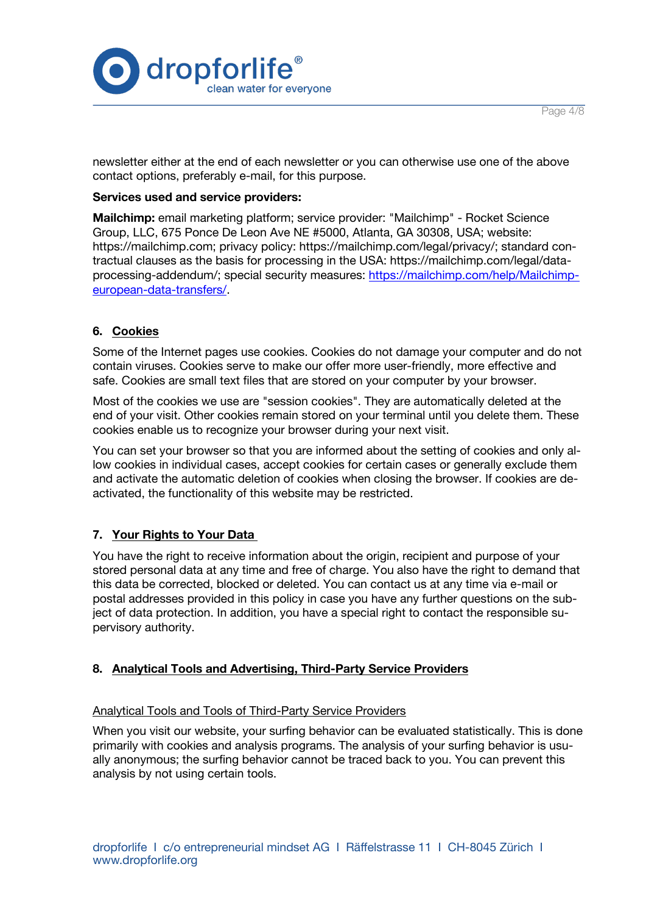

Page 4/8

newsletter either at the end of each newsletter or you can otherwise use one of the above contact options, preferably e-mail, for this purpose.

#### **Services used and service providers:**

**Mailchimp:** email marketing platform; service provider: "Mailchimp" - Rocket Science Group, LLC, 675 Ponce De Leon Ave NE #5000, Atlanta, GA 30308, USA; website: https://mailchimp.com; privacy policy: https://mailchimp.com/legal/privacy/; standard contractual clauses as the basis for processing in the USA: https://mailchimp.com/legal/dataprocessing-addendum/; special security measures: https://mailchimp.com/help/Mailchimpeuropean-data-transfers/.

## **6. Cookies**

Some of the Internet pages use cookies. Cookies do not damage your computer and do not contain viruses. Cookies serve to make our offer more user-friendly, more effective and safe. Cookies are small text files that are stored on your computer by your browser.

Most of the cookies we use are "session cookies". They are automatically deleted at the end of your visit. Other cookies remain stored on your terminal until you delete them. These cookies enable us to recognize your browser during your next visit.

You can set your browser so that you are informed about the setting of cookies and only allow cookies in individual cases, accept cookies for certain cases or generally exclude them and activate the automatic deletion of cookies when closing the browser. If cookies are deactivated, the functionality of this website may be restricted.

### **7. Your Rights to Your Data**

You have the right to receive information about the origin, recipient and purpose of your stored personal data at any time and free of charge. You also have the right to demand that this data be corrected, blocked or deleted. You can contact us at any time via e-mail or postal addresses provided in this policy in case you have any further questions on the subject of data protection. In addition, you have a special right to contact the responsible supervisory authority.

### **8. Analytical Tools and Advertising, Third-Party Service Providers**

#### Analytical Tools and Tools of Third-Party Service Providers

When you visit our website, your surfing behavior can be evaluated statistically. This is done primarily with cookies and analysis programs. The analysis of your surfing behavior is usually anonymous; the surfing behavior cannot be traced back to you. You can prevent this analysis by not using certain tools.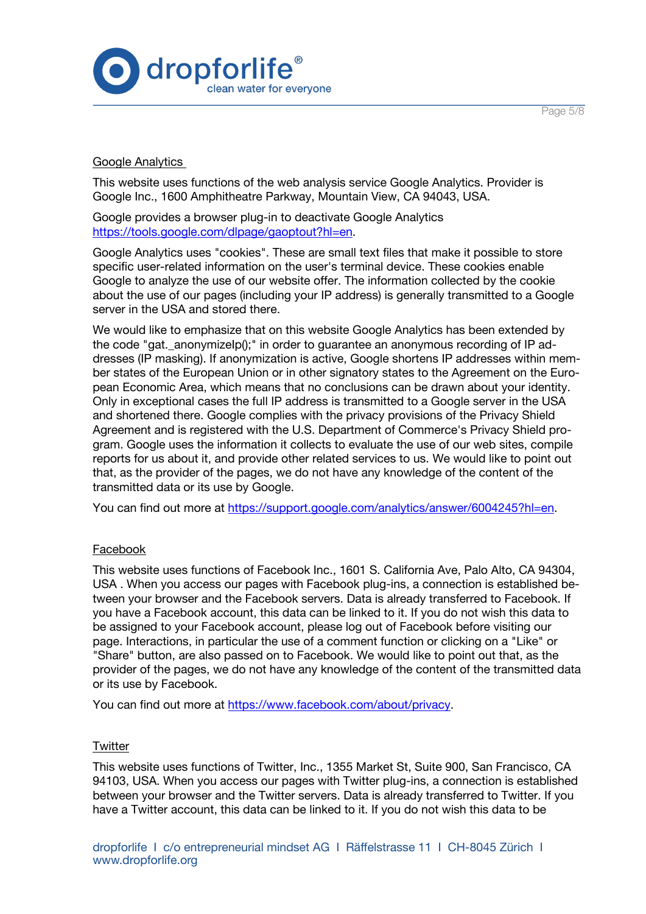

## Google Analytics

This website uses functions of the web analysis service Google Analytics. Provider is Google Inc., 1600 Amphitheatre Parkway, Mountain View, CA 94043, USA.

Google provides a browser plug-in to deactivate Google Analytics https://tools.google.com/dlpage/gaoptout?hl=en.

Google Analytics uses "cookies". These are small text files that make it possible to store specific user-related information on the user's terminal device. These cookies enable Google to analyze the use of our website offer. The information collected by the cookie about the use of our pages (including your IP address) is generally transmitted to a Google server in the USA and stored there.

We would like to emphasize that on this website Google Analytics has been extended by the code "gat.\_anonymizeIp();" in order to guarantee an anonymous recording of IP addresses (IP masking). If anonymization is active, Google shortens IP addresses within member states of the European Union or in other signatory states to the Agreement on the European Economic Area, which means that no conclusions can be drawn about your identity. Only in exceptional cases the full IP address is transmitted to a Google server in the USA and shortened there. Google complies with the privacy provisions of the Privacy Shield Agreement and is registered with the U.S. Department of Commerce's Privacy Shield program. Google uses the information it collects to evaluate the use of our web sites, compile reports for us about it, and provide other related services to us. We would like to point out that, as the provider of the pages, we do not have any knowledge of the content of the transmitted data or its use by Google.

You can find out more at https://support.google.com/analytics/answer/6004245?hl=en.

### Facebook

This website uses functions of Facebook Inc., 1601 S. California Ave, Palo Alto, CA 94304, USA . When you access our pages with Facebook plug-ins, a connection is established between your browser and the Facebook servers. Data is already transferred to Facebook. If you have a Facebook account, this data can be linked to it. If you do not wish this data to be assigned to your Facebook account, please log out of Facebook before visiting our page. Interactions, in particular the use of a comment function or clicking on a "Like" or "Share" button, are also passed on to Facebook. We would like to point out that, as the provider of the pages, we do not have any knowledge of the content of the transmitted data or its use by Facebook.

You can find out more at https://www.facebook.com/about/privacy.

### **Twitter**

This website uses functions of Twitter, Inc., 1355 Market St, Suite 900, San Francisco, CA 94103, USA. When you access our pages with Twitter plug-ins, a connection is established between your browser and the Twitter servers. Data is already transferred to Twitter. If you have a Twitter account, this data can be linked to it. If you do not wish this data to be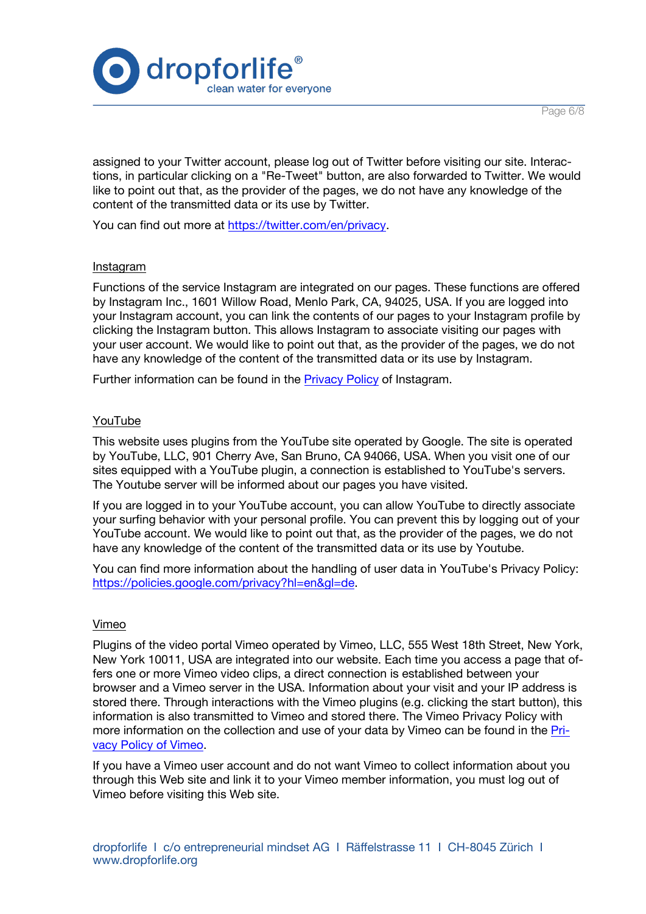



assigned to your Twitter account, please log out of Twitter before visiting our site. Interactions, in particular clicking on a "Re-Tweet" button, are also forwarded to Twitter. We would like to point out that, as the provider of the pages, we do not have any knowledge of the content of the transmitted data or its use by Twitter.

You can find out more at https://twitter.com/en/privacy.

#### Instagram

Functions of the service Instagram are integrated on our pages. These functions are offered by Instagram Inc., 1601 Willow Road, Menlo Park, CA, 94025, USA. If you are logged into your Instagram account, you can link the contents of our pages to your Instagram profile by clicking the Instagram button. This allows Instagram to associate visiting our pages with your user account. We would like to point out that, as the provider of the pages, we do not have any knowledge of the content of the transmitted data or its use by Instagram.

Further information can be found in the Privacy Policy of Instagram.

### YouTube

This website uses plugins from the YouTube site operated by Google. The site is operated by YouTube, LLC, 901 Cherry Ave, San Bruno, CA 94066, USA. When you visit one of our sites equipped with a YouTube plugin, a connection is established to YouTube's servers. The Youtube server will be informed about our pages you have visited.

If you are logged in to your YouTube account, you can allow YouTube to directly associate your surfing behavior with your personal profile. You can prevent this by logging out of your YouTube account. We would like to point out that, as the provider of the pages, we do not have any knowledge of the content of the transmitted data or its use by Youtube.

You can find more information about the handling of user data in YouTube's Privacy Policy: https://policies.google.com/privacy?hl=en&gl=de.

#### Vimeo

Plugins of the video portal Vimeo operated by Vimeo, LLC, 555 West 18th Street, New York, New York 10011, USA are integrated into our website. Each time you access a page that offers one or more Vimeo video clips, a direct connection is established between your browser and a Vimeo server in the USA. Information about your visit and your IP address is stored there. Through interactions with the Vimeo plugins (e.g. clicking the start button), this information is also transmitted to Vimeo and stored there. The Vimeo Privacy Policy with more information on the collection and use of your data by Vimeo can be found in the Privacy Policy of Vimeo.

If you have a Vimeo user account and do not want Vimeo to collect information about you through this Web site and link it to your Vimeo member information, you must log out of Vimeo before visiting this Web site.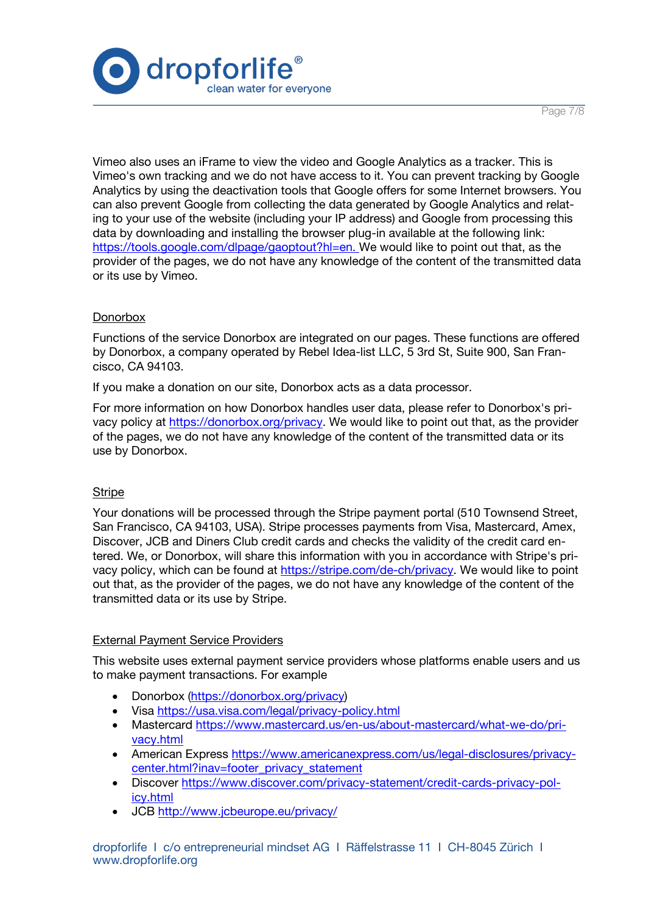

Page 7/8

Vimeo also uses an iFrame to view the video and Google Analytics as a tracker. This is Vimeo's own tracking and we do not have access to it. You can prevent tracking by Google Analytics by using the deactivation tools that Google offers for some Internet browsers. You can also prevent Google from collecting the data generated by Google Analytics and relating to your use of the website (including your IP address) and Google from processing this data by downloading and installing the browser plug-in available at the following link: https://tools.google.com/dlpage/gaoptout?hl=en. We would like to point out that, as the provider of the pages, we do not have any knowledge of the content of the transmitted data or its use by Vimeo.

### **Donorbox**

Functions of the service Donorbox are integrated on our pages. These functions are offered by Donorbox, a company operated by Rebel Idea-list LLC, 5 3rd St, Suite 900, San Francisco, CA 94103.

If you make a donation on our site, Donorbox acts as a data processor.

For more information on how Donorbox handles user data, please refer to Donorbox's privacy policy at https://donorbox.org/privacy. We would like to point out that, as the provider of the pages, we do not have any knowledge of the content of the transmitted data or its use by Donorbox.

### **Stripe**

Your donations will be processed through the Stripe payment portal (510 Townsend Street, San Francisco, CA 94103, USA). Stripe processes payments from Visa, Mastercard, Amex, Discover, JCB and Diners Club credit cards and checks the validity of the credit card entered. We, or Donorbox, will share this information with you in accordance with Stripe's privacy policy, which can be found at https://stripe.com/de-ch/privacy. We would like to point out that, as the provider of the pages, we do not have any knowledge of the content of the transmitted data or its use by Stripe.

### External Payment Service Providers

This website uses external payment service providers whose platforms enable users and us to make payment transactions. For example

- Donorbox (https://donorbox.org/privacy)
- Visa https://usa.visa.com/legal/privacy-policy.html
- Mastercard https://www.mastercard.us/en-us/about-mastercard/what-we-do/privacy.html
- American Express https://www.americanexpress.com/us/legal-disclosures/privacycenter.html?inav=footer\_privacy\_statement
- Discover https://www.discover.com/privacy-statement/credit-cards-privacy-policy.html
- JCB http://www.jcbeurope.eu/privacy/

dropforlife I c/o entrepreneurial mindset AG I Räffelstrasse 11 I CH-8045 Zürich I www.dropforlife.org